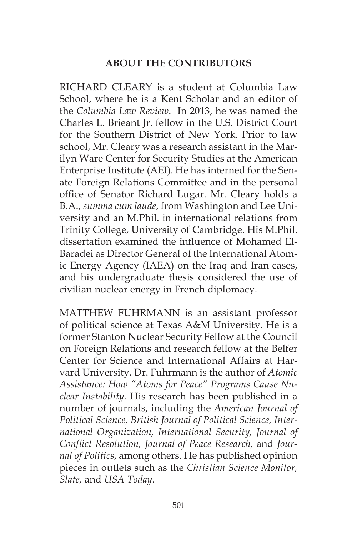## **ABOUT THE CONTRIBUTORS**

RICHARD CLEARY is a student at Columbia Law School, where he is a Kent Scholar and an editor of the *Columbia Law Review*. In 2013, he was named the Charles L. Brieant Jr. fellow in the U.S. District Court for the Southern District of New York. Prior to law school, Mr. Cleary was a research assistant in the Marilyn Ware Center for Security Studies at the American Enterprise Institute (AEI). He has interned for the Senate Foreign Relations Committee and in the personal office of Senator Richard Lugar. Mr. Cleary holds a B.A., *summa cum laude*, from Washington and Lee University and an M.Phil. in international relations from Trinity College, University of Cambridge. His M.Phil. dissertation examined the influence of Mohamed El-Baradei as Director General of the International Atomic Energy Agency (IAEA) on the Iraq and Iran cases, and his undergraduate thesis considered the use of civilian nuclear energy in French diplomacy.

MATTHEW FUHRMANN is an assistant professor of political science at Texas A&M University. He is a former Stanton Nuclear Security Fellow at the Council on Foreign Relations and research fellow at the Belfer Center for Science and International Affairs at Harvard University. Dr. Fuhrmann is the author of *Atomic Assistance: How "Atoms for Peace" Programs Cause Nuclear Instability.* His research has been published in a number of journals, including the *American Journal of Political Science, British Journal of Political Science, International Organization, International Security, Journal of Conflict Resolution, Journal of Peace Research,* and *Journal of Politics*, among others. He has published opinion pieces in outlets such as the *Christian Science Monitor, Slate,* and *USA Today*.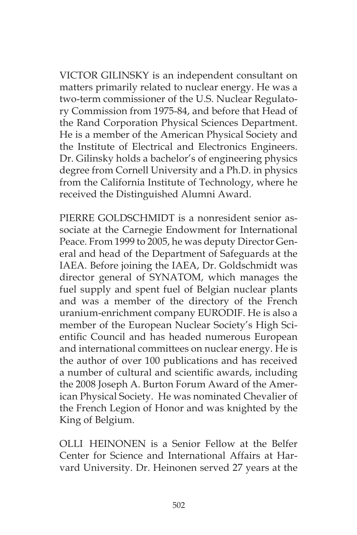VICTOR GILINSKY is an independent consultant on matters primarily related to nuclear energy. He was a two-term commissioner of the U.S. Nuclear Regulatory Commission from 1975-84, and before that Head of the Rand Corporation Physical Sciences Department. He is a member of the American Physical Society and the Institute of Electrical and Electronics Engineers. Dr. Gilinsky holds a bachelor's of engineering physics degree from Cornell University and a Ph.D. in physics from the California Institute of Technology, where he received the Distinguished Alumni Award.

PIERRE GOLDSCHMIDT is a nonresident senior associate at the Carnegie Endowment for International Peace. From 1999 to 2005, he was deputy Director General and head of the Department of Safeguards at the IAEA. Before joining the IAEA, Dr. Goldschmidt was director general of SYNATOM, which manages the fuel supply and spent fuel of Belgian nuclear plants and was a member of the directory of the French uranium-enrichment company EURODIF. He is also a member of the European Nuclear Society's High Scientific Council and has headed numerous European and international committees on nuclear energy. He is the author of over 100 publications and has received a number of cultural and scientific awards, including the 2008 Joseph A. Burton Forum Award of the American Physical Society. He was nominated Chevalier of the French Legion of Honor and was knighted by the King of Belgium.

OLLI HEINONEN is a Senior Fellow at the Belfer Center for Science and International Affairs at Harvard University. Dr. Heinonen served 27 years at the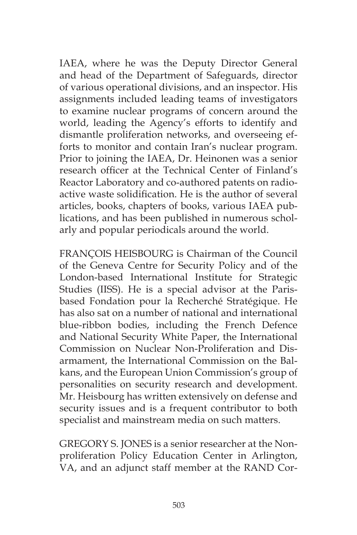IAEA, where he was the Deputy Director General and head of the Department of Safeguards, director of various operational divisions, and an inspector. His assignments included leading teams of investigators to examine nuclear programs of concern around the world, leading the Agency's efforts to identify and dismantle proliferation networks, and overseeing efforts to monitor and contain Iran's nuclear program. Prior to joining the IAEA, Dr. Heinonen was a senior research officer at the Technical Center of Finland's Reactor Laboratory and co-authored patents on radioactive waste solidification. He is the author of several articles, books, chapters of books, various IAEA publications, and has been published in numerous scholarly and popular periodicals around the world.

FRANÇOIS HEISBOURG is Chairman of the Council of the Geneva Centre for Security Policy and of the London-based International Institute for Strategic Studies (IISS). He is a special advisor at the Parisbased Fondation pour la Recherché Stratégique. He has also sat on a number of national and international blue-ribbon bodies, including the French Defence and National Security White Paper, the International Commission on Nuclear Non-Proliferation and Disarmament, the International Commission on the Balkans, and the European Union Commission's group of personalities on security research and development. Mr. Heisbourg has written extensively on defense and security issues and is a frequent contributor to both specialist and mainstream media on such matters.

GREGORY S. JONES is a senior researcher at the Nonproliferation Policy Education Center in Arlington, VA, and an adjunct staff member at the RAND Cor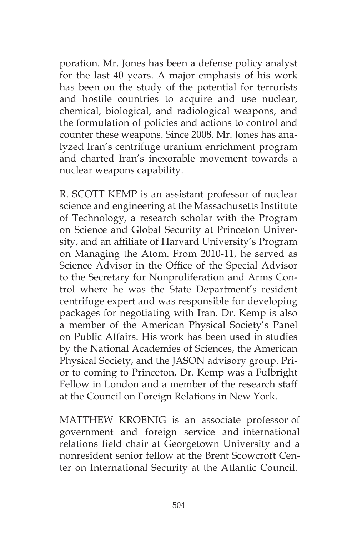poration. Mr. Jones has been a defense policy analyst for the last 40 years. A major emphasis of his work has been on the study of the potential for terrorists and hostile countries to acquire and use nuclear, chemical, biological, and radiological weapons, and the formulation of policies and actions to control and counter these weapons. Since 2008, Mr. Jones has analyzed Iran's centrifuge uranium enrichment program and charted Iran's inexorable movement towards a nuclear weapons capability.

R. SCOTT KEMP is an assistant professor of nuclear science and engineering at the Massachusetts Institute of Technology, a research scholar with the Program on Science and Global Security at Princeton University, and an affiliate of Harvard University's Program on Managing the Atom. From 2010-11, he served as Science Advisor in the Office of the Special Advisor to the Secretary for Nonproliferation and Arms Control where he was the State Department's resident centrifuge expert and was responsible for developing packages for negotiating with Iran. Dr. Kemp is also a member of the American Physical Society's Panel on Public Affairs. His work has been used in studies by the National Academies of Sciences, the American Physical Society, and the JASON advisory group. Prior to coming to Princeton, Dr. Kemp was a Fulbright Fellow in London and a member of the research staff at the Council on Foreign Relations in New York.

MATTHEW KROENIG is an associate professor of government and foreign service and international relations field chair at Georgetown University and a nonresident senior fellow at the Brent Scowcroft Center on International Security at the Atlantic Council.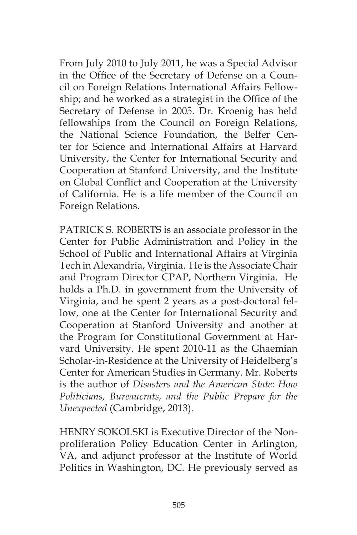From July 2010 to July 2011, he was a Special Advisor in the Office of the Secretary of Defense on a Council on Foreign Relations International Affairs Fellowship; and he worked as a strategist in the Office of the Secretary of Defense in 2005. Dr. Kroenig has held fellowships from the Council on Foreign Relations, the National Science Foundation, the Belfer Center for Science and International Affairs at Harvard University, the Center for International Security and Cooperation at Stanford University, and the Institute on Global Conflict and Cooperation at the University of California. He is a life member of the Council on Foreign Relations.

PATRICK S. ROBERTS is an associate professor in the Center for Public Administration and Policy in the School of Public and International Affairs at Virginia Tech in Alexandria, Virginia. He is the Associate Chair and Program Director CPAP, Northern Virginia. He holds a Ph.D. in government from the University of Virginia, and he spent 2 years as a post-doctoral fellow, one at the Center for International Security and Cooperation at Stanford University and another at the Program for Constitutional Government at Harvard University. He spent 2010-11 as the Ghaemian Scholar-in-Residence at the University of Heidelberg's Center for American Studies in Germany. Mr. Roberts is the author of *Disasters and the American State: How Politicians, Bureaucrats, and the Public Prepare for the Unexpected* (Cambridge, 2013).

HENRY SOKOLSKI is Executive Director of the Nonproliferation Policy Education Center in Arlington, VA, and adjunct professor at the Institute of World Politics in Washington, DC. He previously served as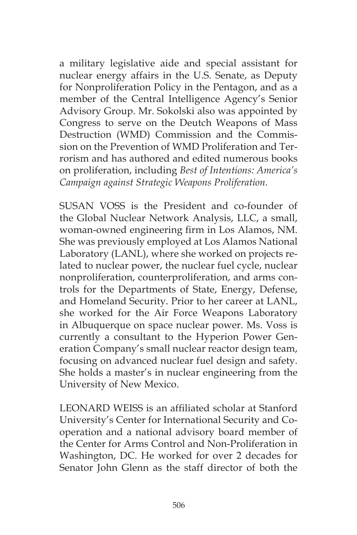a military legislative aide and special assistant for nuclear energy affairs in the U.S. Senate, as Deputy for Nonproliferation Policy in the Pentagon, and as a member of the Central Intelligence Agency's Senior Advisory Group. Mr. Sokolski also was appointed by Congress to serve on the Deutch Weapons of Mass Destruction (WMD) Commission and the Commission on the Prevention of WMD Proliferation and Terrorism and has authored and edited numerous books on proliferation, including *Best of Intentions: America's Campaign against Strategic Weapons Proliferation.*

SUSAN VOSS is the President and co-founder of the Global Nuclear Network Analysis, LLC, a small, woman-owned engineering firm in Los Alamos, NM. She was previously employed at Los Alamos National Laboratory (LANL), where she worked on projects related to nuclear power, the nuclear fuel cycle, nuclear nonproliferation, counterproliferation, and arms controls for the Departments of State, Energy, Defense, and Homeland Security. Prior to her career at LANL, she worked for the Air Force Weapons Laboratory in Albuquerque on space nuclear power. Ms. Voss is currently a consultant to the Hyperion Power Generation Company's small nuclear reactor design team, focusing on advanced nuclear fuel design and safety. She holds a master's in nuclear engineering from the University of New Mexico.

LEONARD WEISS is an affiliated scholar at Stanford University's Center for International Security and Cooperation and a national advisory board member of the Center for Arms Control and Non-Proliferation in Washington, DC. He worked for over 2 decades for Senator John Glenn as the staff director of both the